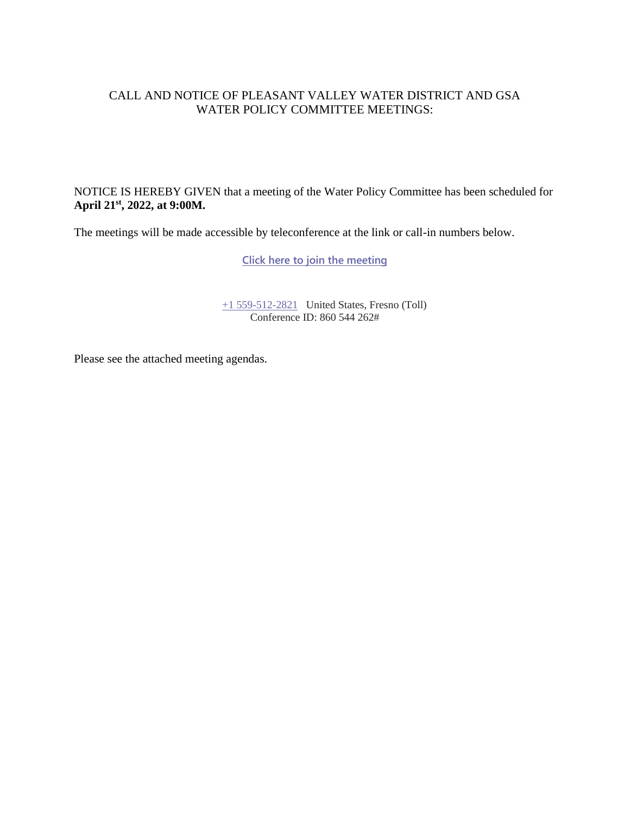### CALL AND NOTICE OF PLEASANT VALLEY WATER DISTRICT AND GSA WATER POLICY COMMITTEE MEETINGS:

NOTICE IS HEREBY GIVEN that a meeting of the Water Policy Committee has been scheduled for **April 21st , 2022, at 9:00M.**

The meetings will be made accessible by teleconference at the link or call-in numbers below.

**[Click here to join the meeting](https://teams.microsoft.com/l/meetup-join/19%3ameeting_Yjk2ZGIwZWEtYjQ3Ni00Y2E1LTk0MTktZWJkOTY4NDY4NDE5%40thread.v2/0?context=%7b%22Tid%22%3a%22a6cf659f-2360-4ff9-9e8d-045f48434ada%22%2c%22Oid%22%3a%225aeb912a-1b48-4d0b-94f5-be7893f4a09c%22%7d)**

[+1 559-512-2821](tel:+15595122821,,85232084# ) United States, Fresno (Toll) Conference ID: 860 544 262#

Please see the attached meeting agendas.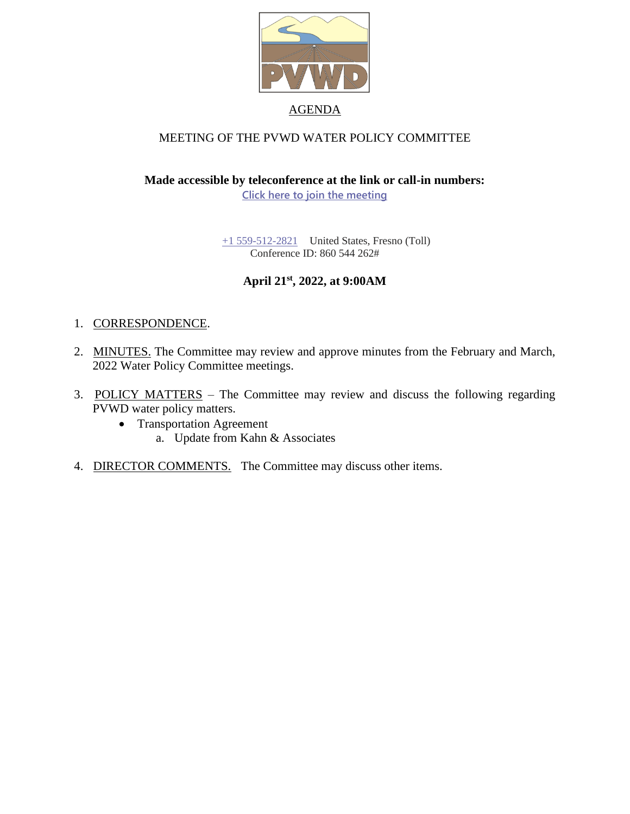

## MEETING OF THE PVWD WATER POLICY COMMITTEE

**Made accessible by teleconference at the link or call-in numbers:**

**[Click here to join the meeting](https://teams.microsoft.com/l/meetup-join/19%3ameeting_Yjk2ZGIwZWEtYjQ3Ni00Y2E1LTk0MTktZWJkOTY4NDY4NDE5%40thread.v2/0?context=%7b%22Tid%22%3a%22a6cf659f-2360-4ff9-9e8d-045f48434ada%22%2c%22Oid%22%3a%225aeb912a-1b48-4d0b-94f5-be7893f4a09c%22%7d)**

[+1 559-512-2821](tel:+15595122821,,85232084# ) United States, Fresno (Toll) Conference ID: 860 544 262#

### **April 21st , 2022, at 9:00AM**

#### 1. CORRESPONDENCE.

- 2. MINUTES. The Committee may review and approve minutes from the February and March, 2022 Water Policy Committee meetings.
- 3. POLICY MATTERS The Committee may review and discuss the following regarding PVWD water policy matters.
	- Transportation Agreement a. Update from Kahn & Associates
- 4. DIRECTOR COMMENTS. The Committee may discuss other items.